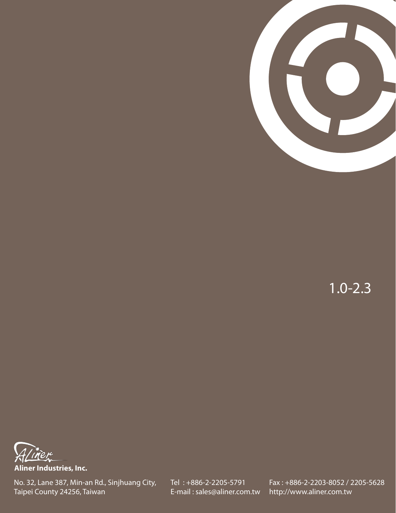

1.0-2.3



**Aliner Industries, Inc.**

No. 32, Lane 387, Min-an Rd., Sinjhuang City, Taipei County 24256, Taiwan

Tel : +886-2-2205-5791 E-mail : sales@aliner.com.tw Fax : +886-2-2203-8052 / 2205-5628 http://www.aliner.com.tw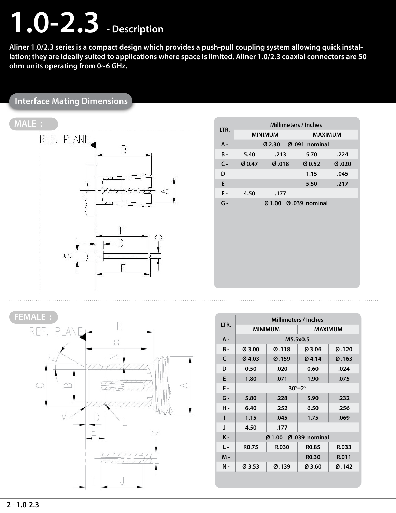# **1.0-2.3 - Description**

**Aliner 1.0/2.3 series is a compact design which provides a push-pull coupling system allowing quick installation; they are ideally suited to applications where space is limited. Aliner 1.0/2.3 coaxial connectors are 50 ohm units operating from 0~6 GHz.**

#### **Interface Mating Dimensions**

## **MALE :**



| LTR.         | <b>Millimeters / Inches</b> |                           |                |                  |  |  |
|--------------|-----------------------------|---------------------------|----------------|------------------|--|--|
|              |                             | <b>MINIMUM</b>            | <b>MAXIMUM</b> |                  |  |  |
| A -          |                             | $Q$ 2.30                  | Ø.091 nominal  |                  |  |  |
| <b>B</b> -   | 5.40                        | .213                      | 5.70           | .224             |  |  |
| $\mathsf{C}$ | Ø0.47                       | Ø.018                     | Ø0.52          | $\emptyset$ .020 |  |  |
| D-           |                             |                           | 1.15           | .045             |  |  |
| E -          |                             |                           | 5.50           | .217             |  |  |
| F-           | 4.50                        | .177                      |                |                  |  |  |
| $G -$        |                             | $Q$ 1.00 $Q$ 0.39 nominal |                |                  |  |  |
|              |                             |                           |                |                  |  |  |



|                | <b>Millimeters / Inches</b> |                |                    |                    |  |  |
|----------------|-----------------------------|----------------|--------------------|--------------------|--|--|
| LTR.           |                             | <b>MINIMUM</b> | <b>MAXIMUM</b>     |                    |  |  |
| A -            |                             | M5.5x0.5       |                    |                    |  |  |
| <b>B</b> -     | Ø3.00                       | Ø.118          | Ø3.06              | Ø.120              |  |  |
| $C -$          | $Ø$ 4.03                    | Ø.159          | Ø4.14              | $\varnothing$ .163 |  |  |
| D-             | 0.50                        | .020           | 0.60               | .024               |  |  |
| Ε-             | 1.80                        | .071           | 1.90               | .075               |  |  |
| $F -$          | $30^\circ \pm 2^\circ$      |                |                    |                    |  |  |
| $G -$          | 5.80                        | .228           | 5.90               | .232               |  |  |
| н.             | 6.40                        | .252           | 6.50               | .256               |  |  |
| $\mathsf{I}$   | 1.15                        | .045           | 1.75               | .069               |  |  |
| J -            | 4.50<br>.177                |                |                    |                    |  |  |
| $K -$          | Ø 1.00 Ø .039 nominal       |                |                    |                    |  |  |
| $\mathsf{I}$ . | R <sub>0.75</sub>           | R.030          | R <sub>0.85</sub>  | R.033              |  |  |
| М -            |                             |                | R <sub>0</sub> .30 | R.011              |  |  |
| Ν-             | Ø3.53                       | Ø.139          | Ø3.60              | Ø.142              |  |  |
|                |                             |                |                    |                    |  |  |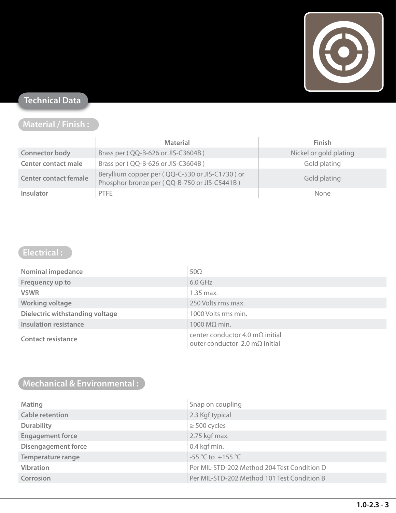

#### **Technical Data**

### **Material / Finish :**

|                              | <b>Material</b>                                                                                 | <b>Finish</b>          |
|------------------------------|-------------------------------------------------------------------------------------------------|------------------------|
| <b>Connector body</b>        | Brass per (QQ-B-626 or JIS-C3604B)                                                              | Nickel or gold plating |
| <b>Center contact male</b>   | Brass per (QQ-B-626 or JIS-C3604B)                                                              | Gold plating           |
| <b>Center contact female</b> | Beryllium copper per (QQ-C-530 or JIS-C1730) or<br>Phosphor bronze per (QQ-B-750 or JIS-C5441B) | Gold plating           |
| <b>Insulator</b>             | <b>PTFE</b>                                                                                     | <b>None</b>            |

### **Electrical :**

| <b>Nominal impedance</b>        | $50\Omega$                                                                        |
|---------------------------------|-----------------------------------------------------------------------------------|
| Frequency up to                 | $6.0$ GHz                                                                         |
| <b>VSWR</b>                     | $1.35$ max.                                                                       |
| <b>Working voltage</b>          | 250 Volts rms max.                                                                |
| Dielectric withstanding voltage | 1000 Volts rms min.                                                               |
| <b>Insulation resistance</b>    | 1000 $M\Omega$ min.                                                               |
| <b>Contact resistance</b>       | center conductor 4.0 m $\Omega$ initial<br>outer conductor 2.0 m $\Omega$ initial |

#### **Mechanical & Environmental :**

| <b>Mating</b>              | Snap on coupling                            |
|----------------------------|---------------------------------------------|
| <b>Cable retention</b>     | 2.3 Kgf typical                             |
| <b>Durability</b>          | $\geq$ 500 cycles                           |
| <b>Engagement force</b>    | 2.75 kgf max.                               |
| <b>Disengagement force</b> | 0.4 kgf min.                                |
| <b>Temperature range</b>   | $-55^{\circ}$ C to $+155^{\circ}$ C         |
| <b>Vibration</b>           | Per MIL-STD-202 Method 204 Test Condition D |
| Corrosion                  | Per MIL-STD-202 Method 101 Test Condition B |